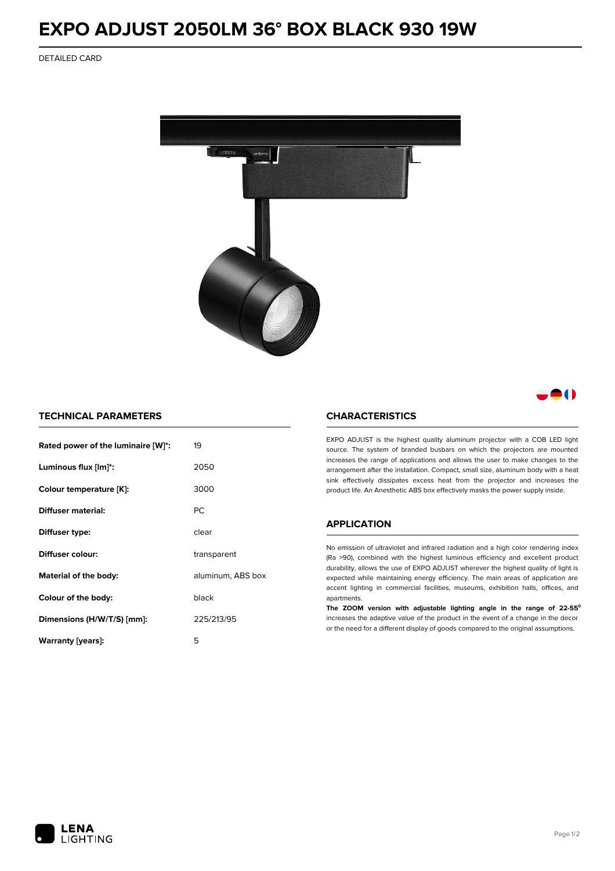# **EXPO ADJUST 2050LM 36° BOX BLACK 930 19W**

DETAILED CARD



# 80

## **TECHNICAL PARAMETERS**

| Rated power of the luminaire [W]*:         | 19          |  |
|--------------------------------------------|-------------|--|
| Luminous flux [lm]*:                       | 2050        |  |
| Colour temperature [K]:                    | 3000        |  |
| Diffuser material:                         | <b>PC</b>   |  |
| Diffuser type:                             | clear       |  |
| Diffuser colour:                           | transparent |  |
| aluminum, ABS box<br>Material of the body: |             |  |
| Colour of the body:                        | black       |  |
| Dimensions (H/W/T/S) [mm]:                 | 225/213/95  |  |
| Warranty [years]:                          | 5           |  |

#### **CHARACTERISTICS**

EXPO ADJUST is the highest quality aluminum projector with a COB LED light source. The system of branded busbars on which the projectors are mounted increases the range of applications and allows the user to make changes to the arrangement after the installation. Compact, small size, aluminum body with a heat sink effectively dissipates excess heat from the projector and increases the product life. An Anesthetic ABS box effectively masks the power supply inside.

### **APPLICATION**

No emission of ultraviolet and infrared radiation and a high color rendering index (Ra >90), combined with the highest luminous efficiency and excellent product durability, allows the use of EXPO ADJUST wherever the highest quality of light is expected while maintaining energy efficiency. The main areas of application are accent lighting in commercial facilities, museums, exhibition halls, offices, and apartments.

**The ZOOM version with adjustable lighting angle in the range of 22-55⁰** increases the adaptive value of the product in the event of a change in the decor or the need for a different display of goods compared to the original assumptions.